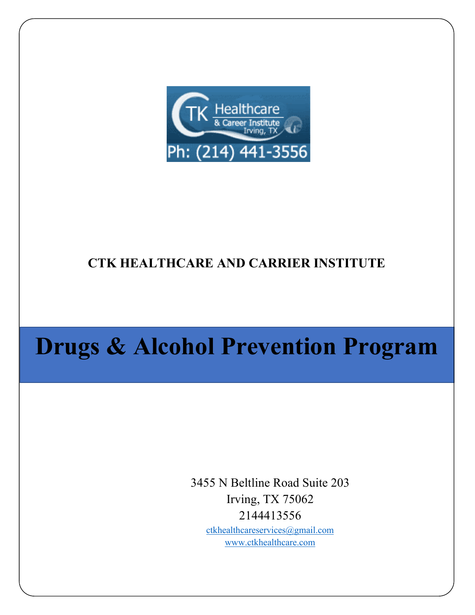

## **CTK HEALTHCARE AND CARRIER INSTITUTE**

## **Drugs & Alcohol Prevention Program**

3455 N Beltline Road Suite 203 Irving, TX 75062 2144413556 [ctkhealthcareservices@gmail.com](mailto:ctkhealthcareservices@gmail.com)

[www.ctkhealthcare.com](http://www.ctkhealthcare.com/)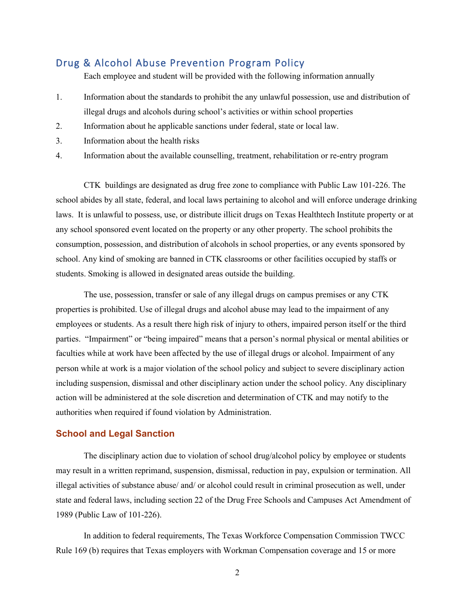## Drug & Alcohol Abuse Prevention Program Policy

Each employee and student will be provided with the following information annually

- 1. Information about the standards to prohibit the any unlawful possession, use and distribution of illegal drugs and alcohols during school's activities or within school properties
- 2. Information about he applicable sanctions under federal, state or local law.
- 3. Information about the health risks
- 4. Information about the available counselling, treatment, rehabilitation or re-entry program

CTK buildings are designated as drug free zone to compliance with Public Law 101-226. The school abides by all state, federal, and local laws pertaining to alcohol and will enforce underage drinking laws. It is unlawful to possess, use, or distribute illicit drugs on Texas Healthtech Institute property or at any school sponsored event located on the property or any other property. The school prohibits the consumption, possession, and distribution of alcohols in school properties, or any events sponsored by school. Any kind of smoking are banned in CTK classrooms or other facilities occupied by staffs or students. Smoking is allowed in designated areas outside the building.

The use, possession, transfer or sale of any illegal drugs on campus premises or any CTK properties is prohibited. Use of illegal drugs and alcohol abuse may lead to the impairment of any employees or students. As a result there high risk of injury to others, impaired person itself or the third parties. "Impairment" or "being impaired" means that a person's normal physical or mental abilities or faculties while at work have been affected by the use of illegal drugs or alcohol. Impairment of any person while at work is a major violation of the school policy and subject to severe disciplinary action including suspension, dismissal and other disciplinary action under the school policy. Any disciplinary action will be administered at the sole discretion and determination of CTK and may notify to the authorities when required if found violation by Administration.

## **School and Legal Sanction**

The disciplinary action due to violation of school drug/alcohol policy by employee or students may result in a written reprimand, suspension, dismissal, reduction in pay, expulsion or termination. All illegal activities of substance abuse/ and/ or alcohol could result in criminal prosecution as well, under state and federal laws, including section 22 of the Drug Free Schools and Campuses Act Amendment of 1989 (Public Law of 101-226).

In addition to federal requirements, The Texas Workforce Compensation Commission TWCC Rule 169 (b) requires that Texas employers with Workman Compensation coverage and 15 or more